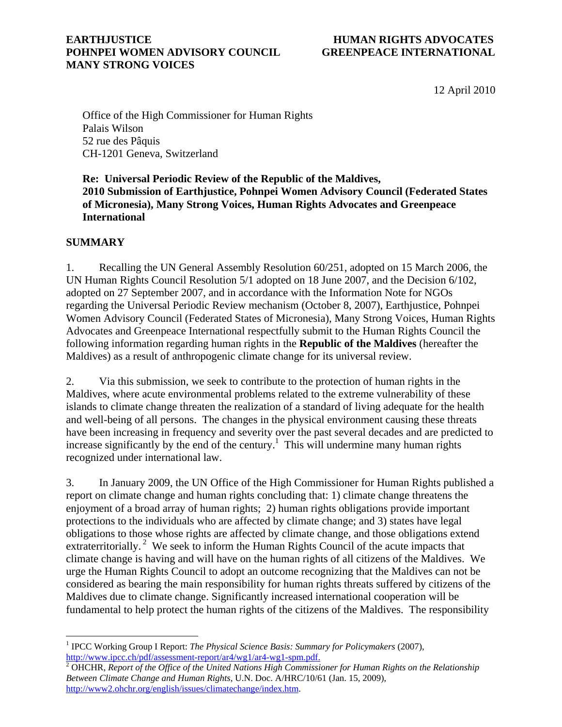#### **EARTHJUSTICE HUMAN RIGHTS ADVOCATES POHNPEI WOMEN ADVISORY COUNCIL GREENPEACE INTERNATIONAL MANY STRONG VOICES**

12 April 2010

Office of the High Commissioner for Human Rights Palais Wilson 52 rue des Pâquis CH-1201 Geneva, Switzerland

**Re: Universal Periodic Review of the Republic of the Maldives, 2010 Submission of Earthjustice, Pohnpei Women Advisory Council (Federated States of Micronesia), Many Strong Voices, Human Rights Advocates and Greenpeace International** 

### **SUMMARY**

 $\overline{a}$ 

1. Recalling the UN General Assembly Resolution 60/251, adopted on 15 March 2006, the UN Human Rights Council Resolution 5/1 adopted on 18 June 2007, and the Decision 6/102, adopted on 27 September 2007, and in accordance with the Information Note for NGOs regarding the Universal Periodic Review mechanism (October 8, 2007), Earthjustice, Pohnpei Women Advisory Council (Federated States of Micronesia), Many Strong Voices, Human Rights Advocates and Greenpeace International respectfully submit to the Human Rights Council the following information regarding human rights in the **Republic of the Maldives** (hereafter the Maldives) as a result of anthropogenic climate change for its universal review.

2. Via this submission, we seek to contribute to the protection of human rights in the Maldives, where acute environmental problems related to the extreme vulnerability of these islands to climate change threaten the realization of a standard of living adequate for the health and well-being of all persons. The changes in the physical environment causing these threats have been increasing in frequency and severity over the past several decades and are predicted to increase significantly by the end of the century.<sup>1</sup> This will undermine many human rights recognized under international law.

3. In January 2009, the UN Office of the High Commissioner for Human Rights published a report on climate change and human rights concluding that: 1) climate change threatens the enjoyment of a broad array of human rights; 2) human rights obligations provide important protections to the individuals who are affected by climate change; and 3) states have legal obligations to those whose rights are affected by climate change, and those obligations extend extraterritorially.<sup>2</sup> We seek to inform the Human Rights Council of the acute impacts that climate change is having and will have on the human rights of all citizens of the Maldives. We urge the Human Rights Council to adopt an outcome recognizing that the Maldives can not be considered as bearing the main responsibility for human rights threats suffered by citizens of the Maldives due to climate change. Significantly increased international cooperation will be fundamental to help protect the human rights of the citizens of the Maldives. The responsibility

<sup>&</sup>lt;sup>1</sup> IPCC Working Group I Report: *The Physical Science Basis: Summary for Policymakers* (2007), http://www.ipcc.ch/pdf/assessment-report/ar4/wg1/ar4-wg1-spm.pdf. 2

OHCHR, *Report of the Office of the United Nations High Commissioner for Human Rights on the Relationship Between Climate Change and Human Rights*, U.N. Doc. A/HRC/10/61 (Jan. 15, 2009), http://www2.ohchr.org/english/issues/climatechange/index.htm.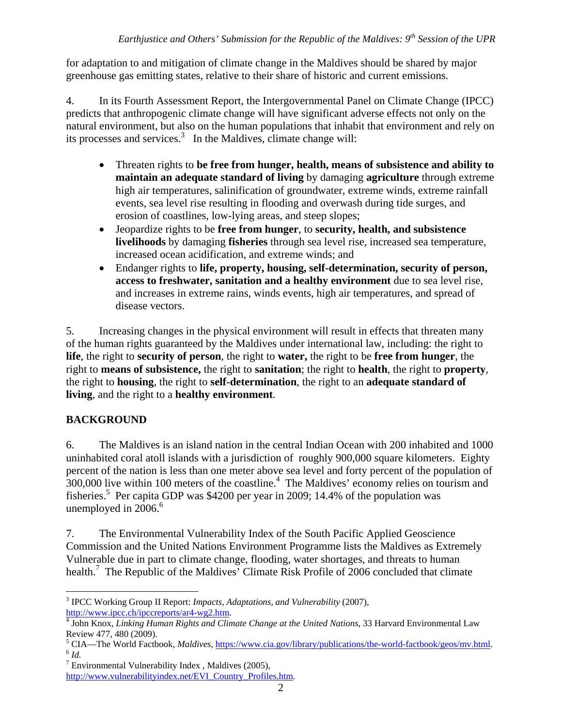for adaptation to and mitigation of climate change in the Maldives should be shared by major greenhouse gas emitting states, relative to their share of historic and current emissions.

4. In its Fourth Assessment Report, the Intergovernmental Panel on Climate Change (IPCC) predicts that anthropogenic climate change will have significant adverse effects not only on the natural environment, but also on the human populations that inhabit that environment and rely on its processes and services. $3$  In the Maldives, climate change will:

- Threaten rights to **be free from hunger, health, means of subsistence and ability to maintain an adequate standard of living** by damaging **agriculture** through extreme high air temperatures, salinification of groundwater, extreme winds, extreme rainfall events, sea level rise resulting in flooding and overwash during tide surges, and erosion of coastlines, low-lying areas, and steep slopes;
- Jeopardize rights to be **free from hunger**, to **security, health, and subsistence livelihoods** by damaging **fisheries** through sea level rise, increased sea temperature, increased ocean acidification, and extreme winds; and
- Endanger rights to **life, property, housing, self-determination, security of person, access to freshwater, sanitation and a healthy environment** due to sea level rise, and increases in extreme rains, winds events, high air temperatures, and spread of disease vectors.

5. Increasing changes in the physical environment will result in effects that threaten many of the human rights guaranteed by the Maldives under international law, including: the right to **life**, the right to **security of person**, the right to **water,** the right to be **free from hunger**, the right to **means of subsistence,** the right to **sanitation**; the right to **health**, the right to **property**, the right to **housing**, the right to **self-determination**, the right to an **adequate standard of living**, and the right to a **healthy environment**.

# **BACKGROUND**

6. The Maldives is an island nation in the central Indian Ocean with 200 inhabited and 1000 uninhabited coral atoll islands with a jurisdiction of roughly 900,000 square kilometers. Eighty percent of the nation is less than one meter above sea level and forty percent of the population of  $300,000$  live within 100 meters of the coastline.<sup>4</sup> The Maldives' economy relies on tourism and fisheries.<sup>5</sup> Per capita GDP was \$4200 per year in 2009; 14.4% of the population was unemployed in  $2006.<sup>6</sup>$ 

7. The Environmental Vulnerability Index of the South Pacific Applied Geoscience Commission and the United Nations Environment Programme lists the Maldives as Extremely Vulnerable due in part to climate change, flooding, water shortages, and threats to human health.<sup>7</sup> The Republic of the Maldives' Climate Risk Profile of 2006 concluded that climate

<sup>1</sup> 3 IPCC Working Group II Report: *Impacts, Adaptations, and Vulnerability* (2007), http://www.ipcc.ch/ipccreports/ar4-wg2.htm. 4

<sup>&</sup>lt;sup>4</sup> John Knox, *Linking Human Rights and Climate Change at the United Nations*, 33 Harvard Environmental Law Review 477, 480 (2009).

<sup>&</sup>lt;sup>5</sup> CIA—The World Factbook, *Maldives*, <u>https://www.cia.gov/library/publications/the-world-factbook/geos/mv.html</u>.<br><sup>6</sup> *Id.* 

 $7$  Environmental Vulnerability Index, Maldives (2005),

http://www.vulnerabilityindex.net/EVI\_Country\_Profiles.htm.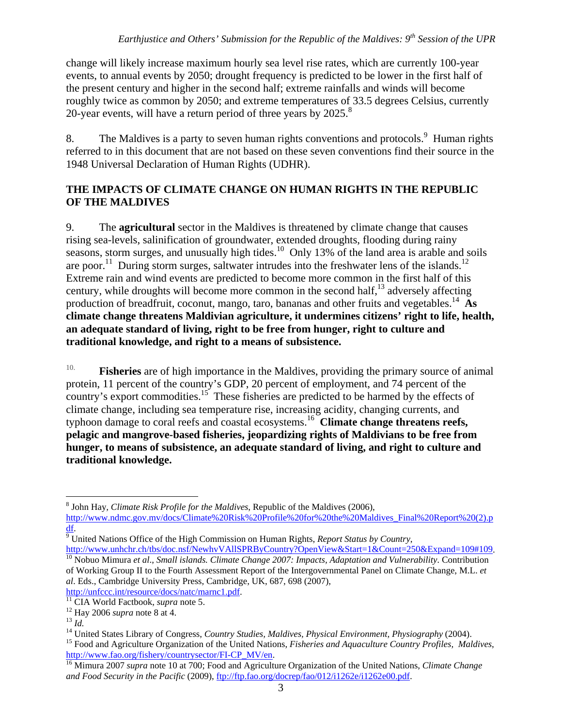change will likely increase maximum hourly sea level rise rates, which are currently 100-year events, to annual events by 2050; drought frequency is predicted to be lower in the first half of the present century and higher in the second half; extreme rainfalls and winds will become roughly twice as common by 2050; and extreme temperatures of 33.5 degrees Celsius, currently 20-year events, will have a return period of three years by  $2025.^8$ 

8. The Maldives is a party to seven human rights conventions and protocols.  $9$  Human rights referred to in this document that are not based on these seven conventions find their source in the 1948 Universal Declaration of Human Rights (UDHR).

## **THE IMPACTS OF CLIMATE CHANGE ON HUMAN RIGHTS IN THE REPUBLIC OF THE MALDIVES**

9. The **agricultural** sector in the Maldives is threatened by climate change that causes rising sea-levels, salinification of groundwater, extended droughts, flooding during rainy seasons, storm surges, and unusually high tides.<sup>10</sup> Only 13% of the land area is arable and soils are poor.<sup>11</sup> During storm surges, saltwater intrudes into the freshwater lens of the islands.<sup>12</sup> Extreme rain and wind events are predicted to become more common in the first half of this century, while droughts will become more common in the second half,  $^{13}$  adversely affecting production of breadfruit, coconut, mango, taro, bananas and other fruits and vegetables.14 **As climate change threatens Maldivian agriculture, it undermines citizens' right to life, health, an adequate standard of living, right to be free from hunger, right to culture and traditional knowledge, and right to a means of subsistence.**

10. **Fisheries** are of high importance in the Maldives, providing the primary source of animal protein, 11 percent of the country's GDP, 20 percent of employment, and 74 percent of the country's export commodities.<sup>15</sup> These fisheries are predicted to be harmed by the effects of climate change, including sea temperature rise, increasing acidity, changing currents, and typhoon damage to coral reefs and coastal ecosystems.16 **Climate change threatens reefs, pelagic and mangrove-based fisheries, jeopardizing rights of Maldivians to be free from hunger, to means of subsistence, an adequate standard of living, and right to culture and traditional knowledge.**

 $\overline{a}$ 8 John Hay*, Climate Risk Profile for the Maldives*, Republic of the Maldives (2006),

http://www.ndmc.gov.mv/docs/Climate%20Risk%20Profile%20for%20the%20Maldives\_Final%20Report%20(2).p df. 9 United Nations Office of the High Commission on Human Rights, *Report Status by Country*,

http://www.unhchr.ch/tbs/doc.nsf/NewhvVAllSPRByCountry?OpenView&Start=1&Count=250&Expand=109#109. 10 Nobuo Mimura *et al*., *Small islands. Climate Change 2007: Impacts, Adaptation and Vulnerability*. Contribution of Working Group II to the Fourth Assessment Report of the Intergovernmental Panel on Climate Change, M.L. *et al*. Eds., Cambridge University Press, Cambridge, UK, 687, 698 (2007),

http://unfccc.int/resource/docs/natc/marnc1.pdf.<br>
<sup>11</sup> CIA World Factbook, *supra* note 5.<br>
<sup>12</sup> Hay 2006 *supra* note 8 at 4.<br>
<sup>14</sup> United States Library of Congress, *Country Studies, Maldives, Physical Environment, Phys* 

http://www.fao.org/fishery/countrysector/FI-CP\_MV/en. 16 Mimura 2007 *supra* note 10 at 700; Food and Agriculture Organization of the United Nations, *Climate Change* 

*and Food Security in the Pacific* (2009), ftp://ftp.fao.org/docrep/fao/012/i1262e/i1262e00.pdf.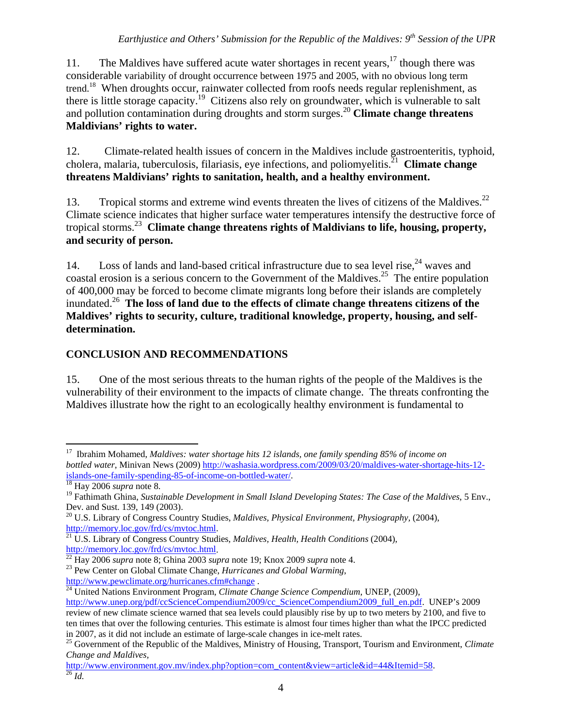# *Earthjustice and Others' Submission for the Republic of the Maldives: 9th Session of the UPR*

11. The Maldives have suffered acute water shortages in recent years, <sup>17</sup> though there was considerable variability of drought occurrence between 1975 and 2005, with no obvious long term trend.<sup>18</sup> When droughts occur, rainwater collected from roofs needs regular replenishment, as there is little storage capacity.<sup>19</sup> Citizens also rely on groundwater, which is vulnerable to salt and pollution contamination during droughts and storm surges.<sup>20</sup> **Climate change threatens Maldivians' rights to water.**

12. Climate-related health issues of concern in the Maldives include gastroenteritis, typhoid, cholera, malaria, tuberculosis, filariasis, eye infections, and poliomyelitis.21 **Climate change threatens Maldivians' rights to sanitation, health, and a healthy environment.**

13. Tropical storms and extreme wind events threaten the lives of citizens of the Maldives.<sup>22</sup> Climate science indicates that higher surface water temperatures intensify the destructive force of tropical storms.23 **Climate change threatens rights of Maldivians to life, housing, property, and security of person.**

14. Loss of lands and land-based critical infrastructure due to sea level rise,  $24$  waves and coastal erosion is a serious concern to the Government of the Maldives.<sup>25</sup> The entire population of 400,000 may be forced to become climate migrants long before their islands are completely inundated.26 **The loss of land due to the effects of climate change threatens citizens of the Maldives' rights to security, culture, traditional knowledge, property, housing, and selfdetermination.** 

## **CONCLUSION AND RECOMMENDATIONS**

15. One of the most serious threats to the human rights of the people of the Maldives is the vulnerability of their environment to the impacts of climate change. The threats confronting the Maldives illustrate how the right to an ecologically healthy environment is fundamental to

 $\overline{a}$ 17 Ibrahim Mohamed, *Maldives: water shortage hits 12 islands, one family spending 85% of income on bottled water*, Minivan News (2009) http://washasia.wordpress.com/2009/03/20/maldives-water-shortage-hits-12 islands-one-family-spending-85-of-income-on-bottled-water/. 18 Hay 2006 *supra* note 8.

<sup>19</sup> Fathimath Ghina, *Sustainable Development in Small Island Developing States: The Case of the Maldives*, 5 Env., Dev. and Sust. 139, 149 (2003).

<sup>20</sup> U.S. Library of Congress Country Studies, *Maldives, Physical Environment, Physiography,* (2004), http://memory.loc.gov/frd/cs/mvtoc.html. 21 U.S. Library of Congress Country Studies*, Maldives, Health, Health Conditions* (2004),

http://memory.loc.gov/frd/cs/mvtoc.html. 22 Hay 2006 *supra* note 8; Ghina 2003 *supra* note 19; Knox 2009 *supra* note 4. 23 Pew Center on Global Climate Change, *Hurricanes and Global Warming*,

http://www.pewclimate.org/hurricanes.cfm#change . 24 United Nations Environment Program, *Climate Change Science Compendium*, UNEP, (2009),

http://www.unep.org/pdf/ccScienceCompendium2009/cc\_ScienceCompendium2009\_full\_en.pdf. UNEP's 2009 review of new climate science warned that sea levels could plausibly rise by up to two meters by 2100, and five to ten times that over the following centuries. This estimate is almost four times higher than what the IPCC predicted in 2007, as it did not include an estimate of large-scale changes in ice-melt rates.

<sup>&</sup>lt;sup>25</sup> Government of the Republic of the Maldives, Ministry of Housing, Transport, Tourism and Environment, *Climate Change and Maldives,*

http://www.environment.gov.mv/index.php?option=com\_content&view=article&id=44&Itemid=58. 26 *Id.*